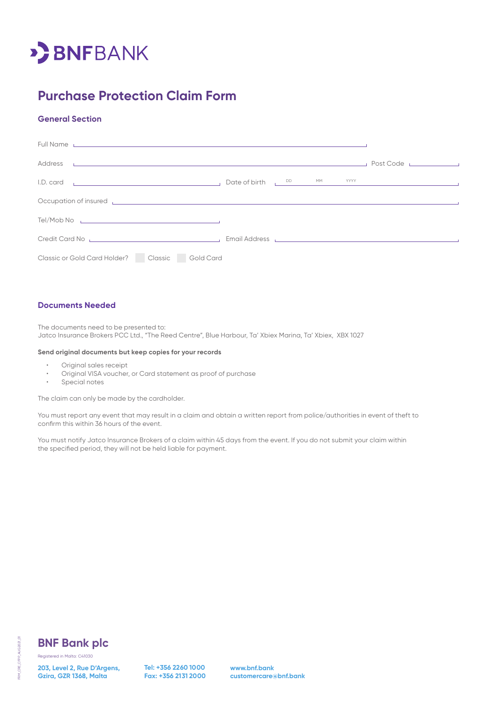

# **Purchase Protection Claim Form**

### **General Section**

| Full Name <b>Example 2018</b> The Contract of Contract Contract of Contract Contract Contract Contract Contract Contract Contract Contract Contract Contract Contract Contract Contract Contract Contract Contract Contract Contrac  |  |
|--------------------------------------------------------------------------------------------------------------------------------------------------------------------------------------------------------------------------------------|--|
| Address and the contract of the contract of the contract of the contract of the contract of the contract of the contract of the contract of the contract of the contract of the contract of the contract of the contract of th       |  |
| I.D. card <b>Example 2018</b> 2019 10:00 and 2019 10:00 and 2019 10:00 and 2019 10:00 and 2019 10:00 and 2019 10:00 and 2019 10:00 and 2019 10:00 and 2019 10:00 and 2019 10:00 and 2019 10:00 and 2019 10:00 and 2019 10:00 and 20  |  |
| Occupation of insured <b>Exercífical Contract Contract Contract Contract Contract Contract Contract Contract Contract Contract Contract Contract Contract Contract Contract Contract Contract Contract Contract Contract Contrac</b> |  |
|                                                                                                                                                                                                                                      |  |
| Credit Card No <b>Card No Credit Card No Accord Credit Card No Accord Credit Card No Accord Credit Card No Accord Credit Card No Accord Credit Card No Accord Credit Card No Accord Credit Card No Accord Credit Card No Accord </b> |  |
| Classic or Gold Card Holder?   Classic Gold Card                                                                                                                                                                                     |  |

#### **Documents Needed**

The documents need to be presented to: Jatco Insurance Brokers PCC Ltd., "The Reed Centre", Blue Harbour, Ta' Xbiex Marina, Ta' Xbiex, XBX 1027

#### **Send original documents but keep copies for your records**

- Original sales receipt
- Original VISA voucher, or Card statement as proof of purchase
- Special notes

The claim can only be made by the cardholder.

You must report any event that may result in a claim and obtain a written report from police/authorities in event of theft to confirm this within 36 hours of the event.

You must notify Jatco Insurance Brokers of a claim within 45 days from the event. If you do not submit your claim within the specified period, they will not be held liable for payment.



FRM\_CRE\_CFPP\_AUG2021\_01

FRM\_CRE\_CFPP\_AUG2021\_01

### **BNF Bank plc**

**203, Level 2, Rue D'Argens, Gzira, GZR 1368, Malta**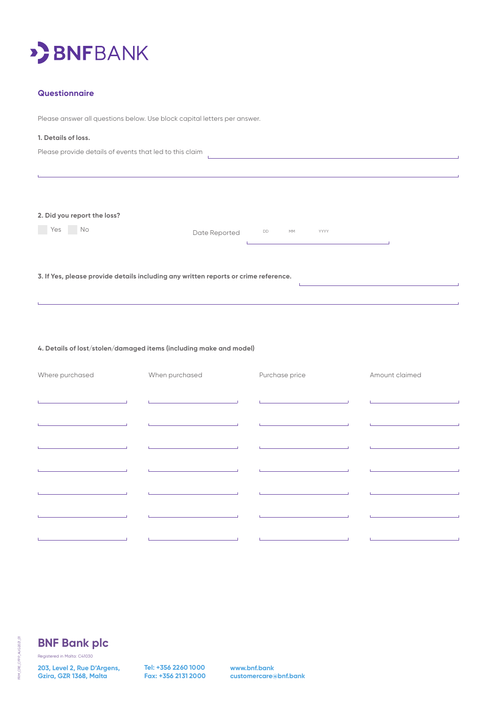

#### **Questionnaire**

Please answer all questions below. Use block capital letters per answer.

#### **1. Details of loss.**

Please provide details of events that led to this claim

**2. Did you report the loss?**

**Solution No Date Reported** DD MM YYYY

**3. If Yes, please provide details including any written reports or crime reference.**

**4. Details of lost/stolen/damaged items (including make and model)**

| Where purchased | When purchased | Purchase price | Amount claimed |  |  |
|-----------------|----------------|----------------|----------------|--|--|
|                 |                |                |                |  |  |
|                 |                |                |                |  |  |
|                 |                |                |                |  |  |
|                 |                |                |                |  |  |
|                 |                |                |                |  |  |
|                 |                |                |                |  |  |
|                 |                |                |                |  |  |
|                 |                |                |                |  |  |
|                 |                |                |                |  |  |
|                 |                |                |                |  |  |

 $\sim$ 

FRM\_CRE\_CFPP\_AUG2021\_01 FRM\_CRE\_CFPP\_AUG2021\_01

## **BNF Bank plc**

Registered in Malta: C41030

**203, Level 2, Rue D'Argens, Gzira, GZR 1368, Malta**

**Tel: +356 2260 1000 Fax: +356 2131 2000** **www.bnf.bank customercare@bnf.bank**